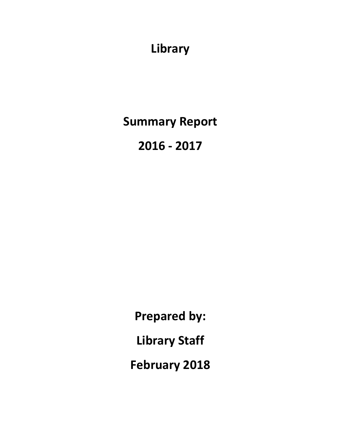**Library**

**Summary Report**

**2016 - 2017**

**Prepared by: Library Staff February 2018**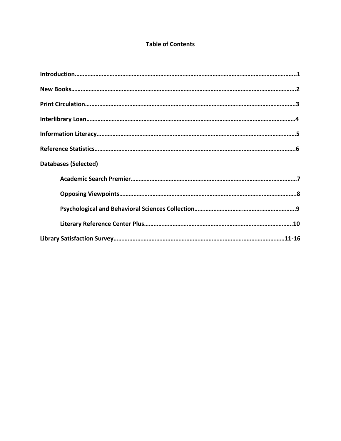### **Table of Contents**

| <b>Databases (Selected)</b> |
|-----------------------------|
|                             |
|                             |
|                             |
|                             |
|                             |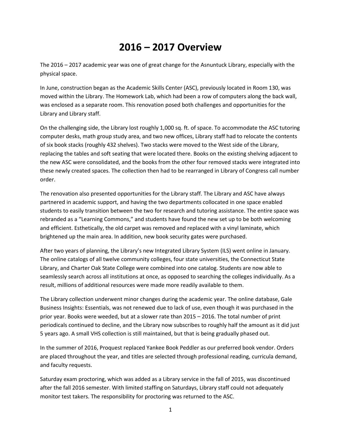# **2016 – 2017 Overview**

The 2016 – 2017 academic year was one of great change for the Asnuntuck Library, especially with the physical space.

In June, construction began as the Academic Skills Center (ASC), previously located in Room 130, was moved within the Library. The Homework Lab, which had been a row of computers along the back wall, was enclosed as a separate room. This renovation posed both challenges and opportunities for the Library and Library staff.

On the challenging side, the Library lost roughly 1,000 sq. ft. of space. To accommodate the ASC tutoring computer desks, math group study area, and two new offices, Library staff had to relocate the contents of six book stacks (roughly 432 shelves). Two stacks were moved to the West side of the Library, replacing the tables and soft seating that were located there. Books on the existing shelving adjacent to the new ASC were consolidated, and the books from the other four removed stacks were integrated into these newly created spaces. The collection then had to be rearranged in Library of Congress call number order.

The renovation also presented opportunities for the Library staff. The Library and ASC have always partnered in academic support, and having the two departments collocated in one space enabled students to easily transition between the two for research and tutoring assistance. The entire space was rebranded as a "Learning Commons," and students have found the new set up to be both welcoming and efficient. Esthetically, the old carpet was removed and replaced with a vinyl laminate, which brightened up the main area. In addition, new book security gates were purchased.

After two years of planning, the Library's new Integrated Library System (ILS) went online in January. The online catalogs of all twelve community colleges, four state universities, the Connecticut State Library, and Charter Oak State College were combined into one catalog. Students are now able to seamlessly search across all institutions at once, as opposed to searching the colleges individually. As a result, millions of additional resources were made more readily available to them.

The Library collection underwent minor changes during the academic year. The online database, Gale Business Insights: Essentials, was not renewed due to lack of use, even though it was purchased in the prior year. Books were weeded, but at a slower rate than 2015 – 2016. The total number of print periodicals continued to decline, and the Library now subscribes to roughly half the amount as it did just 5 years ago. A small VHS collection is still maintained, but that is being gradually phased out.

In the summer of 2016, Proquest replaced Yankee Book Peddler as our preferred book vendor. Orders are placed throughout the year, and titles are selected through professional reading, curricula demand, and faculty requests.

Saturday exam proctoring, which was added as a Library service in the fall of 2015, was discontinued after the fall 2016 semester. With limited staffing on Saturdays, Library staff could not adequately monitor test takers. The responsibility for proctoring was returned to the ASC.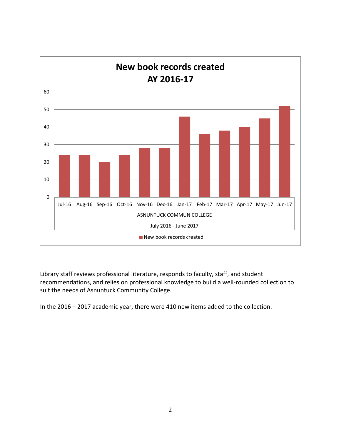

Library staff reviews professional literature, responds to faculty, staff, and student recommendations, and relies on professional knowledge to build a well-rounded collection to suit the needs of Asnuntuck Community College.

In the 2016 – 2017 academic year, there were 410 new items added to the collection.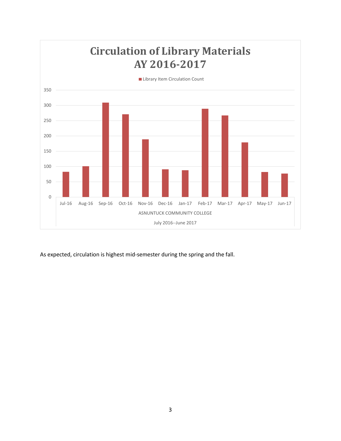

As expected, circulation is highest mid-semester during the spring and the fall.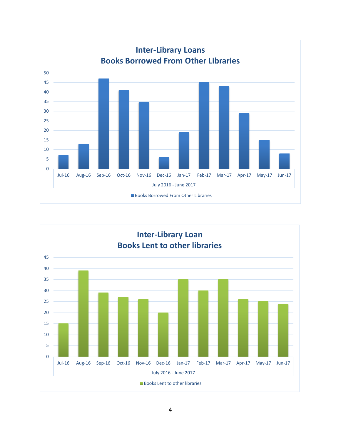

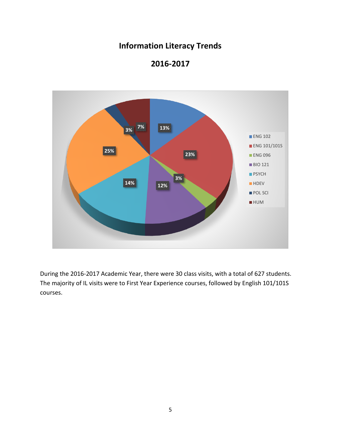# **Information Literacy Trends**



### **2016-2017**

During the 2016-2017 Academic Year, there were 30 class visits, with a total of 627 students. The majority of IL visits were to First Year Experience courses, followed by English 101/101S courses.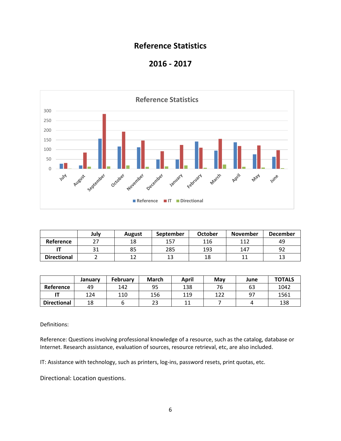### **Reference Statistics**





|                    | July | <b>August</b> | September | <b>October</b> | <b>November</b> | <b>December</b> |
|--------------------|------|---------------|-----------|----------------|-----------------|-----------------|
| Reference          | າາ   | 18            | 157       | 116            | 117             | 49              |
|                    |      | 85            | 285       | 193            | 147             |                 |
| <b>Directional</b> |      |               |           | 18             |                 |                 |

|                    | January | February | <b>March</b> | April | May | June | <b>TOTALS</b> |
|--------------------|---------|----------|--------------|-------|-----|------|---------------|
| Reference          | 49      | 142      | 95           | 138   | 76  | 63   | 1042          |
|                    | 124     | 110      | 156          | 119   | 122 | 97   | 1561          |
| <b>Directional</b> | 18      |          | າາ<br>23     | 11    |     |      | 138           |

Definitions:

Reference: Questions involving professional knowledge of a resource, such as the catalog, database or Internet. Research assistance, evaluation of sources, resource retrieval, etc, are also included.

IT: Assistance with technology, such as printers, log-ins, password resets, print quotas, etc.

Directional: Location questions.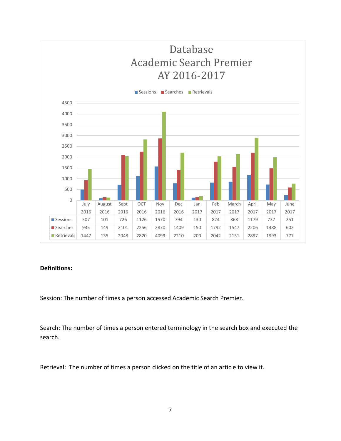

#### **Definitions:**

Session: The number of times a person accessed Academic Search Premier.

Search: The number of times a person entered terminology in the search box and executed the search.

Retrieval: The number of times a person clicked on the title of an article to view it.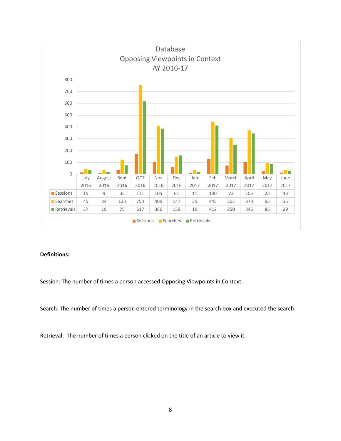

#### **Definitions:**

Session: The number of times a person accessed Opposing Viewpoints in Context.

Search: The number of times a person entered terminology in the search box and executed the search.

Retrieval: The number of times a person clicked on the title of an article to view it.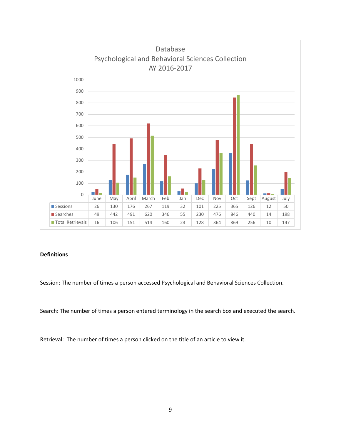

#### **Definitions**

Session: The number of times a person accessed Psychological and Behavioral Sciences Collection.

Search: The number of times a person entered terminology in the search box and executed the search.

Retrieval: The number of times a person clicked on the title of an article to view it.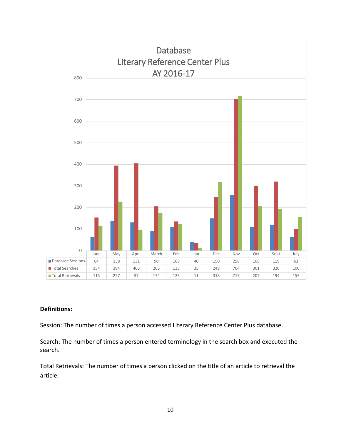

#### **Definitions:**

Session: The number of times a person accessed Literary Reference Center Plus database.

Search: The number of times a person entered terminology in the search box and executed the search.

Total Retrievals: The number of times a person clicked on the title of an article to retrieval the article.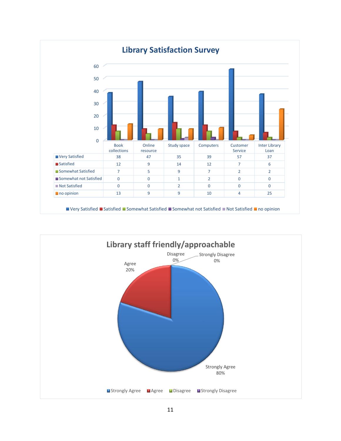

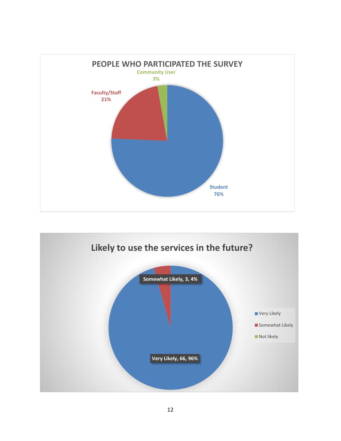

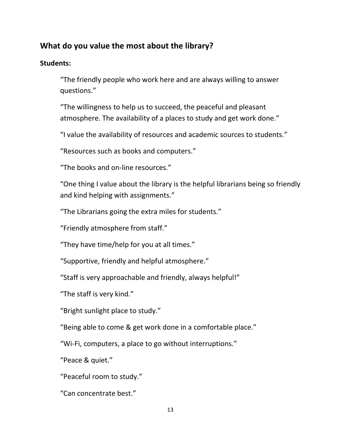## **What do you value the most about the library?**

### **Students:**

"The friendly people who work here and are always willing to answer questions."

"The willingness to help us to succeed, the peaceful and pleasant atmosphere. The availability of a places to study and get work done."

"I value the availability of resources and academic sources to students."

"Resources such as books and computers."

"The books and on-line resources."

"One thing I value about the library is the helpful librarians being so friendly and kind helping with assignments."

"The Librarians going the extra miles for students."

"Friendly atmosphere from staff."

"They have time/help for you at all times."

"Supportive, friendly and helpful atmosphere."

"Staff is very approachable and friendly, always helpful!"

"The staff is very kind."

"Bright sunlight place to study."

"Being able to come & get work done in a comfortable place."

"Wi-Fi, computers, a place to go without interruptions."

"Peace & quiet."

"Peaceful room to study."

"Can concentrate best."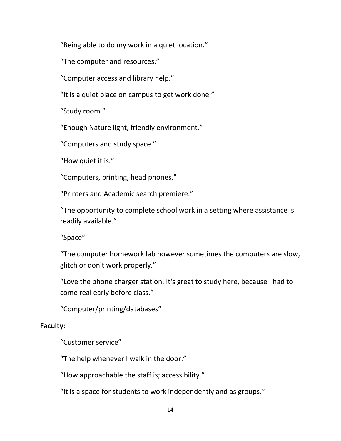"Being able to do my work in a quiet location."

"The computer and resources."

"Computer access and library help."

"It is a quiet place on campus to get work done."

"Study room."

"Enough Nature light, friendly environment."

"Computers and study space."

"How quiet it is."

"Computers, printing, head phones."

"Printers and Academic search premiere."

"The opportunity to complete school work in a setting where assistance is readily available."

"Space"

"The computer homework lab however sometimes the computers are slow, glitch or don't work properly."

"Love the phone charger station. It's great to study here, because I had to come real early before class."

"Computer/printing/databases"

### **Faculty:**

"Customer service"

"The help whenever I walk in the door."

"How approachable the staff is; accessibility."

"It is a space for students to work independently and as groups."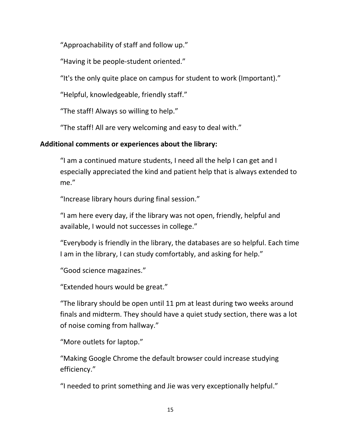"Approachability of staff and follow up."

"Having it be people-student oriented."

"It's the only quite place on campus for student to work (Important)."

"Helpful, knowledgeable, friendly staff."

"The staff! Always so willing to help."

"The staff! All are very welcoming and easy to deal with."

### **Additional comments or experiences about the library:**

"I am a continued mature students, I need all the help I can get and I especially appreciated the kind and patient help that is always extended to me."

"Increase library hours during final session."

"I am here every day, if the library was not open, friendly, helpful and available, I would not successes in college."

"Everybody is friendly in the library, the databases are so helpful. Each time I am in the library, I can study comfortably, and asking for help."

```
"Good science magazines."
```
"Extended hours would be great."

"The library should be open until 11 pm at least during two weeks around finals and midterm. They should have a quiet study section, there was a lot of noise coming from hallway."

"More outlets for laptop."

"Making Google Chrome the default browser could increase studying efficiency."

"I needed to print something and Jie was very exceptionally helpful."